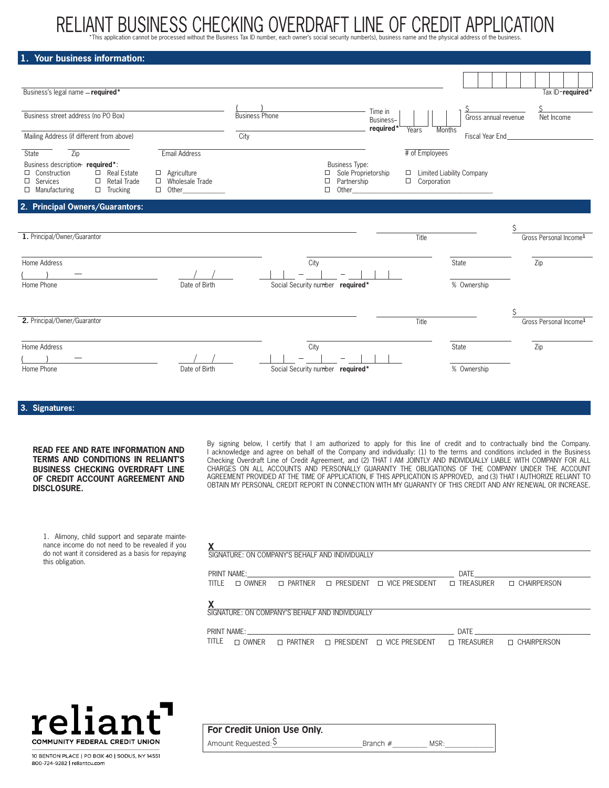# RELIAN I BUSINESS CHECKING OVERDRAF I LINE OF CREDI I APPLICATION<br>\*This application cannot be processed without the Business Tax ID number, each owner's social security number(s), business name and the physical address of

| 1. Your business information:                                                                                                                                     |                                                 |                                                                                             |                                                   |                      |                                    |
|-------------------------------------------------------------------------------------------------------------------------------------------------------------------|-------------------------------------------------|---------------------------------------------------------------------------------------------|---------------------------------------------------|----------------------|------------------------------------|
|                                                                                                                                                                   |                                                 |                                                                                             |                                                   |                      |                                    |
| Business's legal name - required*                                                                                                                                 |                                                 |                                                                                             |                                                   |                      | Tax ID-required*                   |
| Business street address (no PO Box)                                                                                                                               |                                                 | <b>Business Phone</b>                                                                       | Time in                                           | Gross annual revenue | Net Income                         |
|                                                                                                                                                                   |                                                 |                                                                                             | Business-<br>required*<br>Years<br><b>Months</b>  |                      |                                    |
| Mailing Address (if different from above)                                                                                                                         |                                                 | City                                                                                        |                                                   | Fiscal Year End_     |                                    |
| <b>State</b><br>$\overline{Zip}$                                                                                                                                  | Email Address                                   |                                                                                             | # of Employees                                    |                      |                                    |
| Business description required*:<br>$\Box$ Construction<br>$\Box$ Real Estate<br>$\Box$ Services<br>$\Box$ Retail Trade<br>$\Box$ Manufacturing<br>$\Box$ Trucking | $\Box$ Agriculture<br>Wholesale Trade<br>$\Box$ | <b>Business Type:</b><br>□ Sole Proprietorship<br>Partnership<br>$\Box$<br>$\Box$<br>Other_ | □ Limited Liability Company<br>$\Box$ Corporation |                      |                                    |
| 2. Principal Owners/Guarantors:                                                                                                                                   |                                                 |                                                                                             |                                                   |                      |                                    |
|                                                                                                                                                                   |                                                 |                                                                                             |                                                   |                      |                                    |
| 1. Principal/Owner/Guarantor                                                                                                                                      |                                                 |                                                                                             | Title                                             |                      | Gross Personal Income <sup>1</sup> |
| Home Address                                                                                                                                                      |                                                 | City                                                                                        |                                                   | State                | Zip                                |
|                                                                                                                                                                   |                                                 |                                                                                             |                                                   |                      |                                    |
| Home Phone                                                                                                                                                        | Date of Birth                                   | Social Security number required*                                                            |                                                   | % Ownership          |                                    |
|                                                                                                                                                                   |                                                 |                                                                                             |                                                   |                      |                                    |
| 2. Principal/Owner/Guarantor                                                                                                                                      |                                                 |                                                                                             | Title                                             |                      | Gross Personal Income <sup>1</sup> |
| Home Address                                                                                                                                                      |                                                 | City                                                                                        |                                                   | <b>State</b>         | Zip                                |
|                                                                                                                                                                   |                                                 |                                                                                             |                                                   |                      |                                    |
| Home Phone                                                                                                                                                        | Date of Birth                                   | Social Security number required*                                                            |                                                   | % Ownership          |                                    |

**3. Signatures:** 

#### **READ FEE AND RATE INFORMATION AND TERMS AND CONDITIONS IN RELIANT'S BUSINESS CHECKING OVERDRAFT LINE OF CREDIT ACCOUNT AGREEMENT AND DISCLOSURE.**

By signing below, I certify that I am authorized to apply for this line of credit and to contractually bind the Company. I acknowledge and agree on behalf of the Company and individually: (1) to the terms and conditions included in the Business Checking Overdraft Line of Credit Agreement, and (2) THAT I AM JOINTLY AND INDIVIDUALLY LIABLE WITH COMPANY FOR ALL CHARGES ON ALL ACCOUNTS AND PERSONALLY GUARANTY THE OBLIGATIONS OF THE COMPANY UNDER THE ACCOUNT AGREEMENT PROVIDED AT THE TIME OF APPLICATION, IF THIS APPLICATION IS APPROVED, and (3) THAT I AUTHORIZE RELIANT TO OBTAIN MY PERSONAL CREDIT REPORT IN CONNECTION WITH MY GUARANTY OF THIS CREDIT AND ANY RENEWAL OR INCREASE.

1. Alimony, child support and separate maintenance income do not need to be revealed if you do not want it considered as a basis for repaying this obligation.

| SIGNATURE: ON COMPANY'S BEHALF AND INDIVIDUALLY |                  |                     |                                                                    |                        |                    |
|-------------------------------------------------|------------------|---------------------|--------------------------------------------------------------------|------------------------|--------------------|
|                                                 |                  |                     |                                                                    | DATE                   |                    |
| TITI F                                          |                  |                     | $\Box$ OWNER $\Box$ PARTNER $\Box$ PRESIDENT $\Box$ VICE PRESIDENT | $\Box$ TREASURER       | □ CHAIRPERSON      |
|                                                 |                  |                     |                                                                    |                        |                    |
| SIGNATURE: ON COMPANY'S BEHALF AND INDIVIDUALLY |                  |                     |                                                                    |                        |                    |
|                                                 |                  |                     |                                                                    | DATE                   |                    |
| TITLE<br>OWNER                                  | <b>D</b> PARTNER | <b>NO PRESIDENT</b> | <b>VICE PRESIDENT</b><br>Л                                         | <b>TREASURER</b><br>П. | <b>CHAIRPERSON</b> |



| For Credit Union Use Only. |            |      |  |
|----------------------------|------------|------|--|
| Amount Requested: S        | Branch $#$ | MSR: |  |

10 BENTON PLACE | PO BOX 40 | SODUS, NY 14551 800-724-9282 | reliantcu.com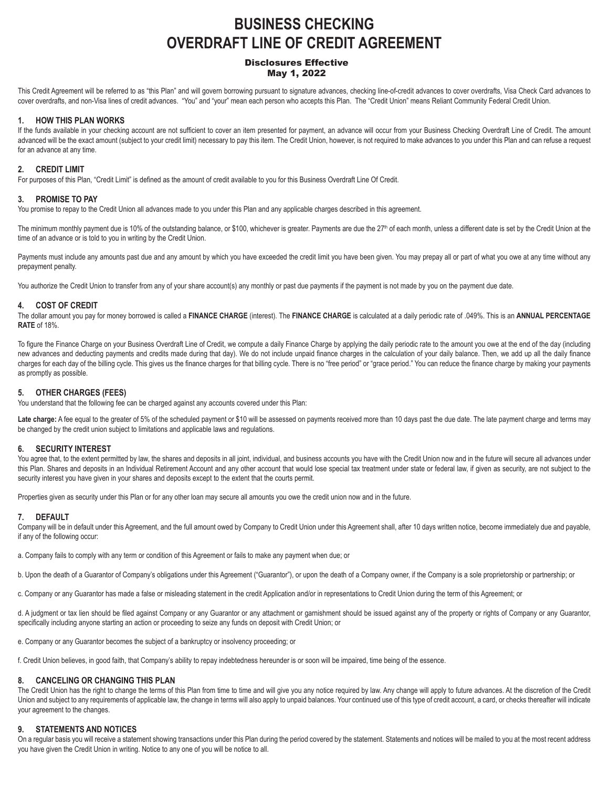# **BUSINESS CHECKING OVERDRAFT LINE OF CREDIT AGREEMENT**

#### Disclosures Effective May 1, 2022

This Credit Agreement will be referred to as "this Plan" and will govern borrowing pursuant to signature advances, checking line-of-credit advances to cover overdrafts, Visa Check Card advances to cover overdrafts, and non-Visa lines of credit advances. "You" and "your" mean each person who accepts this Plan. The "Credit Union" means Reliant Community Federal Credit Union.

#### **1. HOW THIS PLAN WORKS**

If the funds available in your checking account are not sufficient to cover an item presented for payment, an advance will occur from your Business Checking Overdraft Line of Credit. The amount advanced will be the exact amount (subject to your credit limit) necessary to pay this item. The Credit Union, however, is not required to make advances to you under this Plan and can refuse a request for an advance at any time.

#### **2. CREDIT LIMIT**

For purposes of this Plan, "Credit Limit" is defined as the amount of credit available to you for this Business Overdraft Line Of Credit.

#### **3. PROMISE TO PAY**

You promise to repay to the Credit Union all advances made to you under this Plan and any applicable charges described in this agreement.

The minimum monthly payment due is 10% of the outstanding balance, or \$100, whichever is greater. Payments are due the 27<sup>th</sup> of each month, unless a different date is set by the Credit Union at the time of an advance or is told to you in writing by the Credit Union.

Payments must include any amounts past due and any amount by which you have exceeded the credit limit you have been given. You may prepay all or part of what you owe at any time without any prepayment penalty.

You authorize the Credit Union to transfer from any of your share account(s) any monthly or past due payments if the payment is not made by you on the payment due date.

#### **4. COST OF CREDIT**

The dollar amount you pay for money borrowed is called a **FINANCE CHARGE** (interest). The **FINANCE CHARGE** is calculated at a daily periodic rate of .049%. This is an **ANNUAL PERCENTAGE RATE** of 18%.

To figure the Finance Charge on your Business Overdraft Line of Credit, we compute a daily Finance Charge by applying the daily periodic rate to the amount you owe at the end of the day (including new advances and deducting payments and credits made during that day). We do not include unpaid finance charges in the calculation of your daily balance. Then, we add up all the daily finance charges for each day of the billing cycle. This gives us the finance charges for that billing cycle. There is no "free period" or "grace period." You can reduce the finance charge by making your payments as promptly as possible.

#### **5. OTHER CHARGES (FEES)**

You understand that the following fee can be charged against any accounts covered under this Plan:

Late charge: A fee equal to the greater of 5% of the scheduled payment or \$10 will be assessed on payments received more than 10 days past the due date. The late payment charge and terms may be changed by the credit union subject to limitations and applicable laws and regulations.

#### **6. SECURITY INTEREST**

You agree that, to the extent permitted by law, the shares and deposits in all joint, individual, and business accounts you have with the Credit Union now and in the future will secure all advances under this Plan. Shares and deposits in an Individual Retirement Account and any other account that would lose special tax treatment under state or federal law, if given as security, are not subject to the security interest you have given in your shares and deposits except to the extent that the courts permit.

Properties given as security under this Plan or for any other loan may secure all amounts you owe the credit union now and in the future.

#### **7. DEFAULT**

Company will be in default under this Agreement, and the full amount owed by Company to Credit Union under this Agreement shall, after 10 days written notice, become immediately due and payable, if any of the following occur:

a. Company fails to comply with any term or condition of this Agreement or fails to make any payment when due; or

b. Upon the death of a Guarantor of Company's obligations under this Agreement ("Guarantor"), or upon the death of a Company owner, if the Company is a sole proprietorship or partnership; or

c. Company or any Guarantor has made a false or misleading statement in the credit Application and/or in representations to Credit Union during the term of this Agreement; or

d. A judgment or tax lien should be filed against Company or any Guarantor or any attachment or garnishment should be issued against any of the property or rights of Company or any Guarantor, specifically including anyone starting an action or proceeding to seize any funds on deposit with Credit Union; or

e. Company or any Guarantor becomes the subject of a bankruptcy or insolvency proceeding; or

f. Credit Union believes, in good faith, that Company's ability to repay indebtedness hereunder is or soon will be impaired, time being of the essence.

#### **8. CANCELING OR CHANGING THIS PLAN**

The Credit Union has the right to change the terms of this Plan from time to time and will give you any notice required by law. Any change will apply to future advances. At the discretion of the Credit Union and subject to any requirements of applicable law, the change in terms will also apply to unpaid balances. Your continued use of this type of credit account, a card, or checks thereafter will indicate your agreement to the changes.

#### **9. STATEMENTS AND NOTICES**

On a regular basis you will receive a statement showing transactions under this Plan during the period covered by the statement. Statements and notices will be mailed to you at the most recent address you have given the Credit Union in writing. Notice to any one of you will be notice to all.